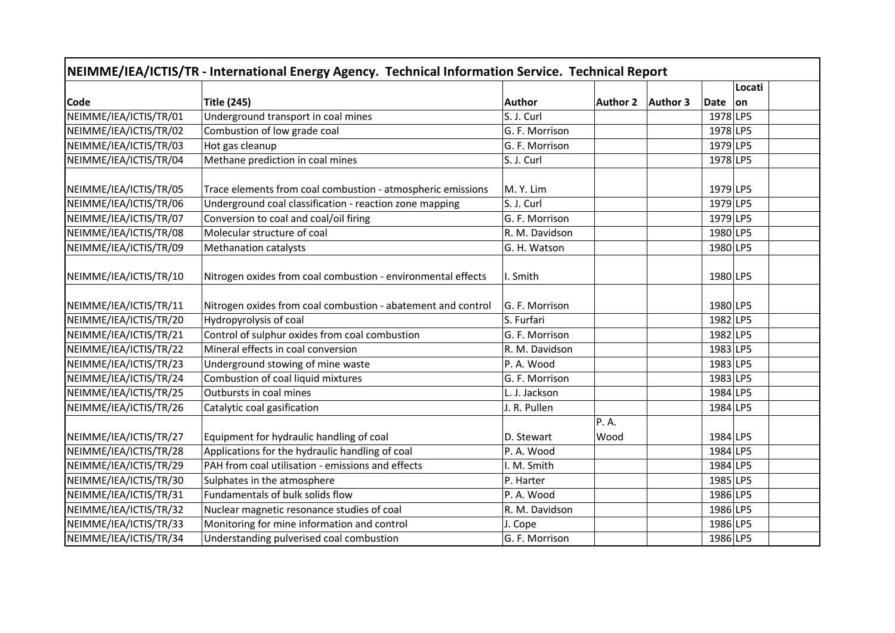| NEIMME/IEA/ICTIS/TR - International Energy Agency. Technical Information Service. Technical Report |                                                              |                |                 |          |          |        |  |  |  |
|----------------------------------------------------------------------------------------------------|--------------------------------------------------------------|----------------|-----------------|----------|----------|--------|--|--|--|
|                                                                                                    |                                                              |                |                 |          |          | Locati |  |  |  |
| <b>Code</b>                                                                                        | <b>Title (245)</b>                                           | <b>Author</b>  | <b>Author 2</b> | Author 3 | Date     | on     |  |  |  |
| NEIMME/IEA/ICTIS/TR/01                                                                             | Underground transport in coal mines                          | S. J. Curl     |                 |          | 1978 LP5 |        |  |  |  |
| NEIMME/IEA/ICTIS/TR/02                                                                             | Combustion of low grade coal                                 | G. F. Morrison |                 |          | 1978 LP5 |        |  |  |  |
| NEIMME/IEA/ICTIS/TR/03                                                                             | Hot gas cleanup                                              | G. F. Morrison |                 |          | 1979 LP5 |        |  |  |  |
| NEIMME/IEA/ICTIS/TR/04                                                                             | Methane prediction in coal mines                             | S. J. Curl     |                 |          | 1978 LP5 |        |  |  |  |
| NEIMME/IEA/ICTIS/TR/05                                                                             | Trace elements from coal combustion - atmospheric emissions  | M. Y. Lim      |                 |          | 1979 LP5 |        |  |  |  |
| NEIMME/IEA/ICTIS/TR/06                                                                             | Underground coal classification - reaction zone mapping      | S. J. Curl     |                 |          | 1979 LP5 |        |  |  |  |
| NEIMME/IEA/ICTIS/TR/07                                                                             | Conversion to coal and coal/oil firing                       | G. F. Morrison |                 |          | 1979 LP5 |        |  |  |  |
| NEIMME/IEA/ICTIS/TR/08                                                                             | Molecular structure of coal                                  | R. M. Davidson |                 |          | 1980 LP5 |        |  |  |  |
| NEIMME/IEA/ICTIS/TR/09                                                                             | <b>Methanation catalysts</b>                                 | G. H. Watson   |                 |          | 1980 LP5 |        |  |  |  |
| NEIMME/IEA/ICTIS/TR/10                                                                             | Nitrogen oxides from coal combustion - environmental effects | I. Smith       |                 |          | 1980 LP5 |        |  |  |  |
| NEIMME/IEA/ICTIS/TR/11                                                                             | Nitrogen oxides from coal combustion - abatement and control | G. F. Morrison |                 |          | 1980 LP5 |        |  |  |  |
| NEIMME/IEA/ICTIS/TR/20                                                                             | Hydropyrolysis of coal                                       | S. Furfari     |                 |          | 1982 LP5 |        |  |  |  |
| NEIMME/IEA/ICTIS/TR/21                                                                             | Control of sulphur oxides from coal combustion               | G. F. Morrison |                 |          | 1982 LP5 |        |  |  |  |
| NEIMME/IEA/ICTIS/TR/22                                                                             | Mineral effects in coal conversion                           | R. M. Davidson |                 |          | 1983 LP5 |        |  |  |  |
| NEIMME/IEA/ICTIS/TR/23                                                                             | Underground stowing of mine waste                            | P. A. Wood     |                 |          | 1983 LP5 |        |  |  |  |
| NEIMME/IEA/ICTIS/TR/24                                                                             | Combustion of coal liquid mixtures                           | G. F. Morrison |                 |          | 1983 LP5 |        |  |  |  |
| NEIMME/IEA/ICTIS/TR/25                                                                             | Outbursts in coal mines                                      | L. J. Jackson  |                 |          | 1984 LP5 |        |  |  |  |
| NEIMME/IEA/ICTIS/TR/26                                                                             | Catalytic coal gasification                                  | J. R. Pullen   |                 |          | 1984 LP5 |        |  |  |  |
| NEIMME/IEA/ICTIS/TR/27                                                                             | Equipment for hydraulic handling of coal                     | D. Stewart     | P. A.<br>Wood   |          | 1984 LP5 |        |  |  |  |
| NEIMME/IEA/ICTIS/TR/28                                                                             | Applications for the hydraulic handling of coal              | P. A. Wood     |                 |          | 1984 LP5 |        |  |  |  |
| NEIMME/IEA/ICTIS/TR/29                                                                             | PAH from coal utilisation - emissions and effects            | I. M. Smith    |                 |          | 1984 LP5 |        |  |  |  |
| NEIMME/IEA/ICTIS/TR/30                                                                             | Sulphates in the atmosphere                                  | P. Harter      |                 |          | 1985 LP5 |        |  |  |  |
| NEIMME/IEA/ICTIS/TR/31                                                                             | Fundamentals of bulk solids flow                             | P. A. Wood     |                 |          | 1986 LP5 |        |  |  |  |
| NEIMME/IEA/ICTIS/TR/32                                                                             | Nuclear magnetic resonance studies of coal                   | R. M. Davidson |                 |          | 1986 LP5 |        |  |  |  |
| NEIMME/IEA/ICTIS/TR/33                                                                             | Monitoring for mine information and control                  | J. Cope        |                 |          | 1986 LP5 |        |  |  |  |
| NEIMME/IEA/ICTIS/TR/34                                                                             | Understanding pulverised coal combustion                     | G. F. Morrison |                 |          | 1986 LP5 |        |  |  |  |